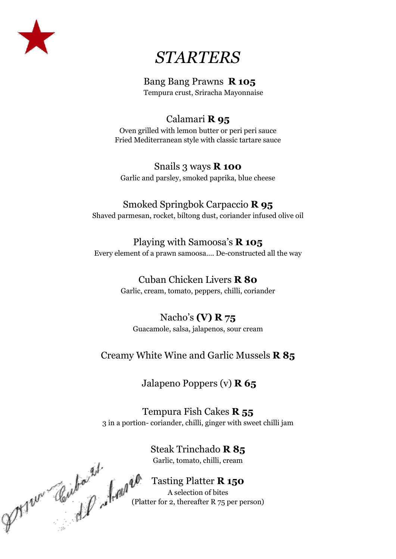

# *STARTERS*

### Bang Bang Prawns **R 105**

Tempura crust, Sriracha Mayonnaise

### Calamari **R 95**

Oven grilled with lemon butter or peri peri sauce Fried Mediterranean style with classic tartare sauce

## Snails 3 ways **R 100**

Garlic and parsley, smoked paprika, blue cheese

### Smoked Springbok Carpaccio **R 95**

Shaved parmesan, rocket, biltong dust, coriander infused olive oil

### Playing with Samoosa's **R 105**

Every element of a prawn samoosa…. De-constructed all the way

### Cuban Chicken Livers **R 80**

Garlic, cream, tomato, peppers, chilli, coriander

### Nacho's **(V) R 75**

Guacamole, salsa, jalapenos, sour cream

### Creamy White Wine and Garlic Mussels **R 85**

### Jalapeno Poppers (v) **R 65**

Tempura Fish Cakes **R 55** 3 in a portion- coriander, chilli, ginger with sweet chilli jam

> Steak Trinchado **R 85** Garlic, tomato, chilli, cream

Tasting Platter **R 150** A selection of bites  $\mathcal{L}_{\mathcal{D}}$  ( $\mathcal{L}_{\mathcal{D}}$  )  $\mathcal{L}_{\mathcal{D}}$  (Platter for 2, thereafter R 75 per person)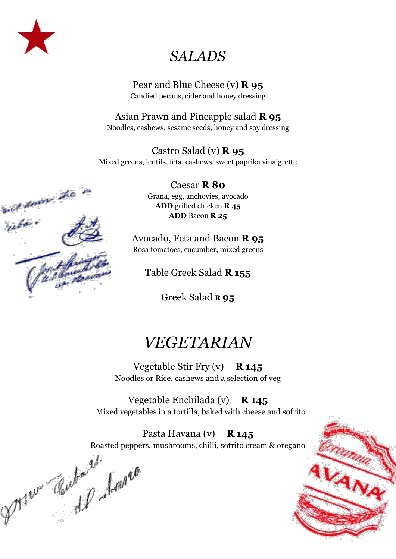

## *SALADS*

### Pear and Blue Cheese (v) **R 95** Candied pecans, cider and honey dressing

### Asian Prawn and Pineapple salad **R 95**

Noodles, cashews, sesame seeds, honey and soy dressing

### Castro Salad (v) **R 95**

Mixed greens, lentils, feta, cashews, sweet paprika vinaigrette

Caesar **R 80** Grana, egg, anchovies, avocado **ADD** grilled chicken **R 45 ADD** Bacon **R 25**

Avocado, Feta and Bacon **R 95** Rosa tomatoes, cucumber, mixed greens

Table Greek Salad **R 155**

Greek Salad **R 95**

# *VEGETARIAN*

Vegetable Stir Fry (v) **R 145** Noodles or Rice, cashews and a selection of veg

Vegetable Enchilada (v) **R 145** Mixed vegetables in a tortilla, baked with cheese and sofrito

Roasted peppers, mushrooms, chilli, sofrito cream & oregano

Pasta Havana (v) **R 145**<br>Roasted peppers, mushrooms, chilli, sofrito cre<br>Real peppers, mushrooms, chilli, sofrito cre<br>Real peppers, mushrooms, chilli, sofrito cre



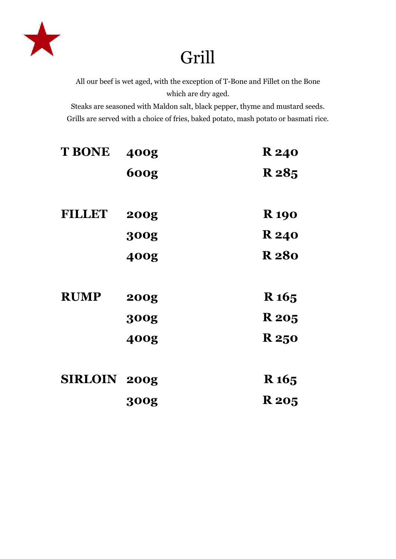

# Grill

All our beef is wet aged, with the exception of T-Bone and Fillet on the Bone which are dry aged.

Steaks are seasoned with Maldon salt, black pepper, thyme and mustard seeds. Grills are served with a choice of fries, baked potato, mash potato or basmati rice.

| <b>T BONE</b>       | 400g        | <b>R</b> 240     |
|---------------------|-------------|------------------|
|                     | <b>600g</b> | R 285            |
|                     |             |                  |
| <b>FILLET</b>       | <b>200g</b> | <b>R</b> 190     |
|                     | <b>300g</b> | <b>R</b> 240     |
|                     | 400g        | <b>R280</b>      |
|                     |             |                  |
| <b>RUMP</b>         | <b>200g</b> | R <sub>165</sub> |
|                     | <b>300g</b> | <b>R</b> 205     |
|                     | 400g        | <b>R</b> 250     |
|                     |             |                  |
| <b>SIRLOIN 200g</b> |             | R <sub>165</sub> |
|                     | <b>300g</b> | <b>R</b> 205     |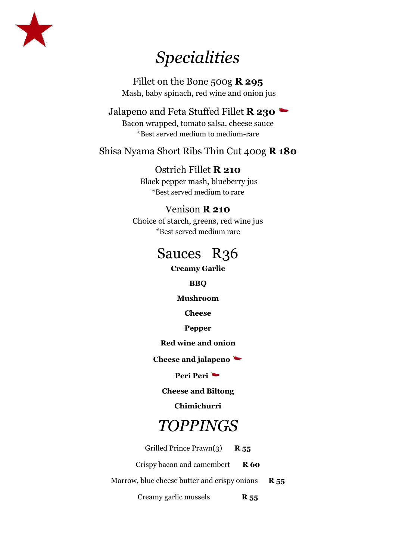

# *Specialities*

Fillet on the Bone 500g **R 295** Mash, baby spinach, red wine and onion jus

Jalapeno and Feta Stuffed Fillet **R 230** Bacon wrapped, tomato salsa, cheese sauce \*Best served medium to medium-rare

### Shisa Nyama Short Ribs Thin Cut 400g **R 180**

### Ostrich Fillet **R 210**

Black pepper mash, blueberry jus \*Best served medium to rare

### Venison **R 210**

Choice of starch, greens, red wine jus \*Best served medium rare

## Sauces R<sub>36</sub>

**Creamy Garlic**

#### **BBQ**

**Mushroom**

**Cheese**

**Pepper**

**Red wine and onion**

**Cheese and jalapeno**

**Peri Peri**

**Cheese and Biltong**

**Chimichurri**

## *TOPPINGS*

Grilled Prince Prawn(3) **R 55**

Crispy bacon and camembert **R 60**

Marrow, blue cheese butter and crispy onions **R 55**

Creamy garlic mussels **R 55**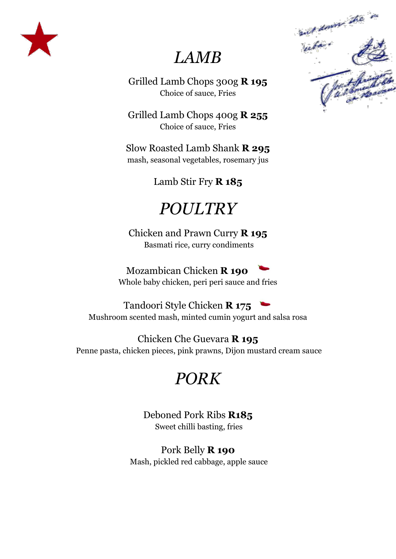

# *LAMB*

Grilled Lamb Chops 300g **R 195** Choice of sauce, Fries

Grilled Lamb Chops 400g **R 255** Choice of sauce, Fries

Slow Roasted Lamb Shank **R 295** mash, seasonal vegetables, rosemary jus

Lamb Stir Fry **R 185**

# *POULTRY*

Chicken and Prawn Curry **R 195** Basmati rice, curry condiments

Mozambican Chicken **R 190**  Whole baby chicken, peri peri sauce and fries

Tandoori Style Chicken **R 175**  Mushroom scented mash, minted cumin yogurt and salsa rosa

Chicken Che Guevara **R 195** Penne pasta, chicken pieces, pink prawns, Dijon mustard cream sauce

# *PORK*

Deboned Pork Ribs **R185** Sweet chilli basting, fries

Pork Belly **R 190** Mash, pickled red cabbage, apple sauce

and down the in sur domen.<br>Vaka ( fact fairfield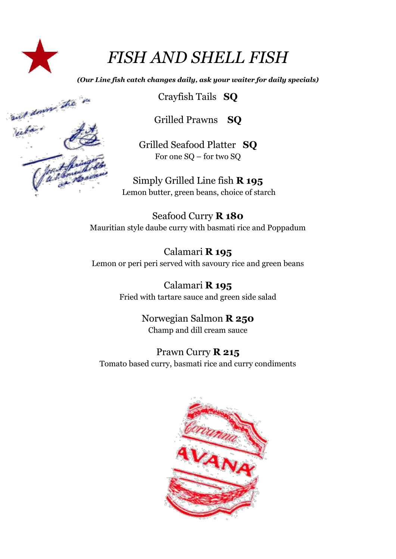

# *FISH AND SHELL FISH*

*(Our Line fish catch changes daily, ask your waiter for daily specials)*



Crayfish Tails **SQ**

Grilled Prawns **SQ**

Grilled Seafood Platter **SQ** For one SQ – for two SQ

Simply Grilled Line fish **R 195** Lemon butter, green beans, choice of starch

Seafood Curry **R 180** Mauritian style daube curry with basmati rice and Poppadum

Calamari **R 195** Lemon or peri peri served with savoury rice and green beans

> Calamari **R 195** Fried with tartare sauce and green side salad

> > Norwegian Salmon **R 250** Champ and dill cream sauce

Prawn Curry **R 215** Tomato based curry, basmati rice and curry condiments

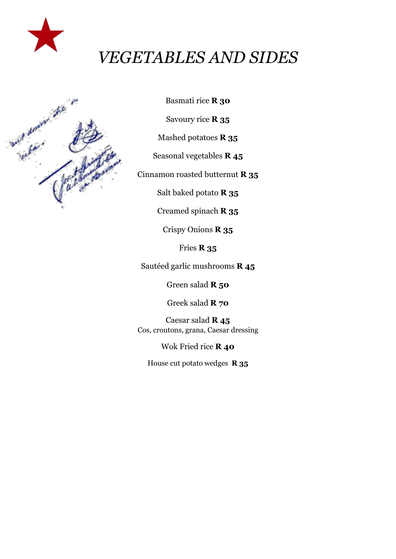

# *VEGETABLES AND SIDES*



Basmati rice **R 30**

Savoury rice **R 35**

Mashed potatoes **R 35**

Seasonal vegetables **R 45**

Cinnamon roasted butternut **R 35**

Salt baked potato **R 35**

Creamed spinach **R 35**

Crispy Onions **R 35**

Fries **R 35**

Sautéed garlic mushrooms **R 45**

Green salad **R 50**

Greek salad **R 70**

Caesar salad **R 45** Cos, croutons, grana, Caesar dressing

Wok Fried rice **R 40**

House cut potato wedges **R 35**